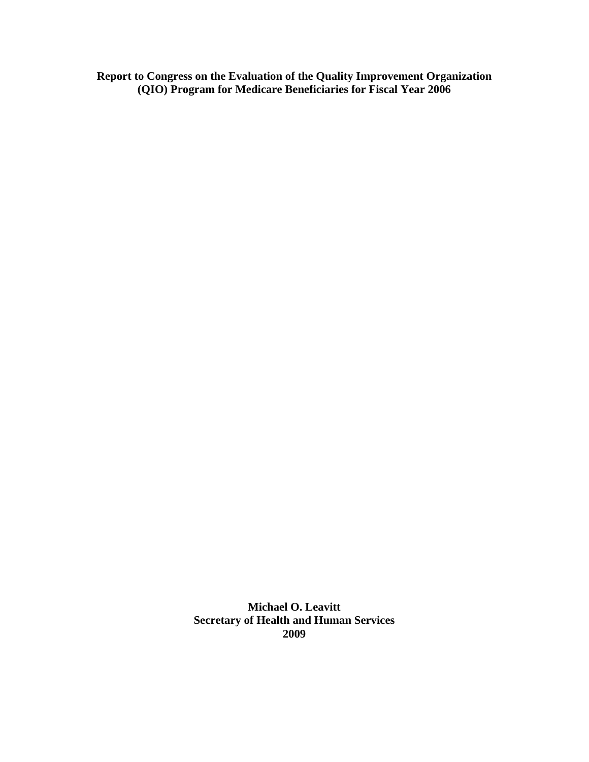**Report to Congress on the Evaluation of the Quality Improvement Organization (QIO) Program for Medicare Beneficiaries for Fiscal Year 2006**

> **Michael O. Leavitt Secretary of Health and Human Services 2009**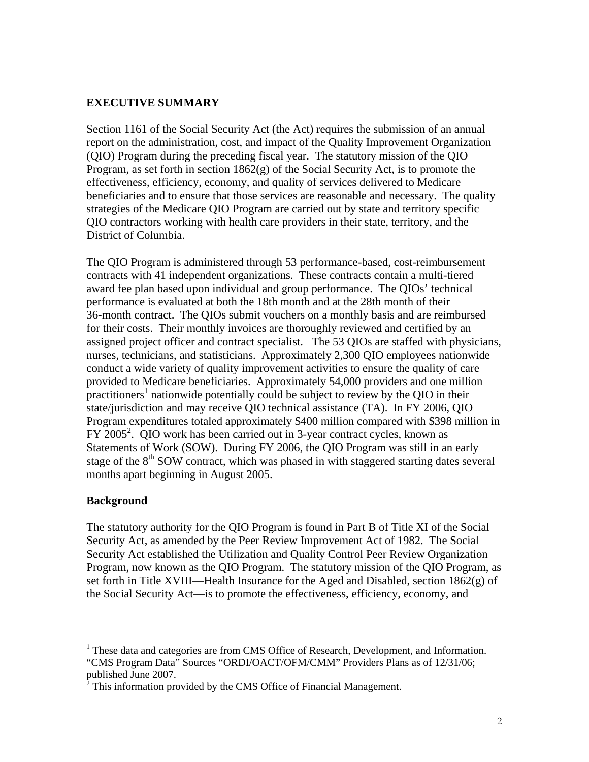### **EXECUTIVE SUMMARY**

Section 1161 of the Social Security Act (the Act) requires the submission of an annual report on the administration, cost, and impact of the Quality Improvement Organization (QIO) Program during the preceding fiscal year. The statutory mission of the QIO Program, as set forth in section 1862(g) of the Social Security Act, is to promote the effectiveness, efficiency, economy, and quality of services delivered to Medicare beneficiaries and to ensure that those services are reasonable and necessary. The quality strategies of the Medicare QIO Program are carried out by state and territory specific QIO contractors working with health care providers in their state, territory, and the District of Columbia.

The QIO Program is administered through 53 performance-based, cost-reimbursement contracts with 41 independent organizations. These contracts contain a multi-tiered award fee plan based upon individual and group performance. The QIOs' technical performance is evaluated at both the 18th month and at the 28th month of their 36-month contract. The QIOs submit vouchers on a monthly basis and are reimbursed for their costs. Their monthly invoices are thoroughly reviewed and certified by an assigned project officer and contract specialist. The 53 QIOs are staffed with physicians, nurses, technicians, and statisticians. Approximately 2,300 QIO employees nationwide conduct a wide variety of quality improvement activities to ensure the quality of care provided to Medicare beneficiaries. Approximately 54,000 providers and one million  $\frac{1}{2}$  practitioners<sup>1</sup> nationwide potentially could be subject to review by the QIO in their state/jurisdiction and may receive QIO technical assistance (TA). In FY 2006, QIO Program expenditures totaled approximately \$400 million compared with \$398 million in FY 2005<sup>2</sup>. QIO work has been carried out in 3-year contract cycles, known as Statements of Work (SOW). During FY 2006, the QIO Program was still in an early stage of the 8<sup>th</sup> SOW contract, which was phased in with staggered starting dates several months apart beginning in August 2005.

### **Background**

 $\ddot{\phantom{a}}$ 

The statutory authority for the QIO Program is found in Part B of Title XI of the Social Security Act, as amended by the Peer Review Improvement Act of 1982. The Social Security Act established the Utilization and Quality Control Peer Review Organization Program, now known as the QIO Program. The statutory mission of the QIO Program, as set forth in Title XVIII—Health Insurance for the Aged and Disabled, section  $1862(g)$  of the Social Security Act—is to promote the effectiveness, efficiency, economy, and

<sup>&</sup>lt;sup>1</sup> These data and categories are from CMS Office of Research, Development, and Information. "CMS Program Data" Sources "ORDI/OACT/OFM/CMM" Providers Plans as of 12/31/06; published June 2007.<br><sup>2</sup> This information provided by the CMS Office of Financial Management.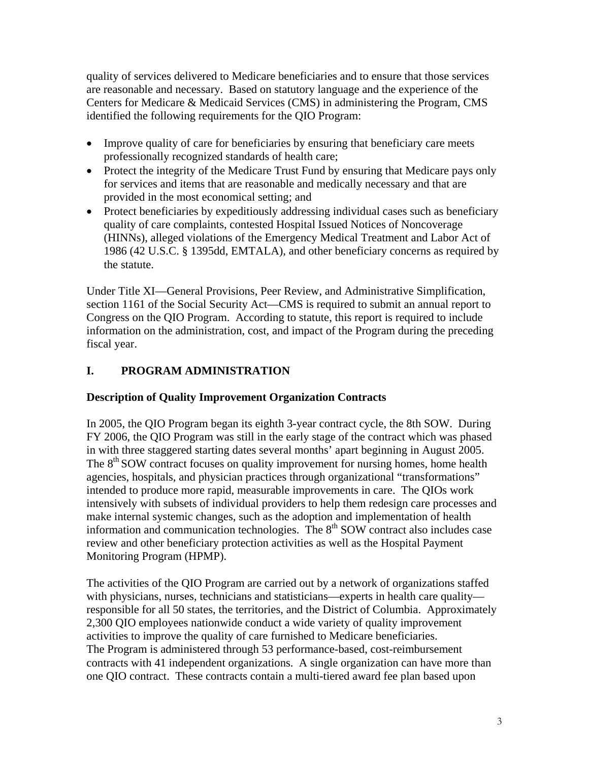quality of services delivered to Medicare beneficiaries and to ensure that those services are reasonable and necessary. Based on statutory language and the experience of the Centers for Medicare & Medicaid Services (CMS) in administering the Program, CMS identified the following requirements for the QIO Program:

- Improve quality of care for beneficiaries by ensuring that beneficiary care meets professionally recognized standards of health care;
- Protect the integrity of the Medicare Trust Fund by ensuring that Medicare pays only for services and items that are reasonable and medically necessary and that are provided in the most economical setting; and
- Protect beneficiaries by expeditiously addressing individual cases such as beneficiary quality of care complaints, contested Hospital Issued Notices of Noncoverage (HINNs), alleged violations of the Emergency Medical Treatment and Labor Act of 1986 (42 U.S.C. § 1395dd, EMTALA), and other beneficiary concerns as required by the statute.

Under Title XI—General Provisions, Peer Review, and Administrative Simplification, section 1161 of the Social Security Act—CMS is required to submit an annual report to Congress on the QIO Program. According to statute, this report is required to include information on the administration, cost, and impact of the Program during the preceding fiscal year.

# **I. PROGRAM ADMINISTRATION**

### **Description of Quality Improvement Organization Contracts**

In 2005, the QIO Program began its eighth 3-year contract cycle, the 8th SOW. During FY 2006, the QIO Program was still in the early stage of the contract which was phased in with three staggered starting dates several months' apart beginning in August 2005. The  $8<sup>th</sup>$  SOW contract focuses on quality improvement for nursing homes, home health agencies, hospitals, and physician practices through organizational "transformations" intended to produce more rapid, measurable improvements in care. The QIOs work intensively with subsets of individual providers to help them redesign care processes and make internal systemic changes, such as the adoption and implementation of health information and communication technologies. The  $8<sup>th</sup>$  SOW contract also includes case review and other beneficiary protection activities as well as the Hospital Payment Monitoring Program (HPMP).

The activities of the QIO Program are carried out by a network of organizations staffed with physicians, nurses, technicians and statisticians—experts in health care quality responsible for all 50 states, the territories, and the District of Columbia. Approximately 2,300 QIO employees nationwide conduct a wide variety of quality improvement activities to improve the quality of care furnished to Medicare beneficiaries. The Program is administered through 53 performance-based, cost-reimbursement contracts with 41 independent organizations. A single organization can have more than one QIO contract. These contracts contain a multi-tiered award fee plan based upon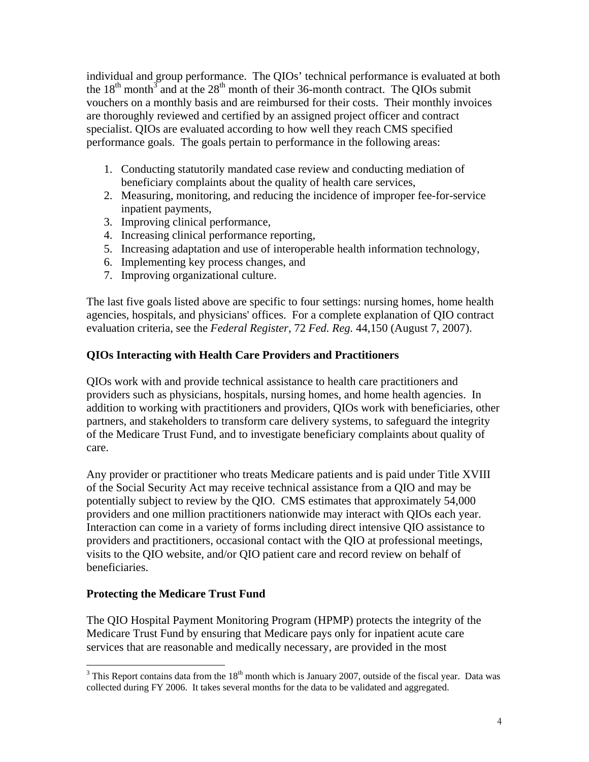individual and group performance. The QIOs' technical performance is evaluated at both the  $18<sup>th</sup>$  month<sup>3</sup> and at the  $28<sup>th</sup>$  month of their 36-month contract. The QIOs submit vouchers on a monthly basis and are reimbursed for their costs. Their monthly invoices are thoroughly reviewed and certified by an assigned project officer and contract specialist. QIOs are evaluated according to how well they reach CMS specified performance goals. The goals pertain to performance in the following areas:

- 1. Conducting statutorily mandated case review and conducting mediation of beneficiary complaints about the quality of health care services,
- 2. Measuring, monitoring, and reducing the incidence of improper fee-for-service inpatient payments,
- 3. Improving clinical performance,
- 4. Increasing clinical performance reporting,
- 5. Increasing adaptation and use of interoperable health information technology,
- 6. Implementing key process changes, and
- 7. Improving organizational culture.

The last five goals listed above are specific to four settings: nursing homes, home health agencies, hospitals, and physicians' offices. For a complete explanation of QIO contract evaluation criteria, see the *Federal Register*, 72 *Fed. Reg.* 44,150 (August 7, 2007).

# **QIOs Interacting with Health Care Providers and Practitioners**

QIOs work with and provide technical assistance to health care practitioners and providers such as physicians, hospitals, nursing homes, and home health agencies. In addition to working with practitioners and providers, QIOs work with beneficiaries, other partners, and stakeholders to transform care delivery systems, to safeguard the integrity of the Medicare Trust Fund, and to investigate beneficiary complaints about quality of care.

Any provider or practitioner who treats Medicare patients and is paid under Title XVIII of the Social Security Act may receive technical assistance from a QIO and may be potentially subject to review by the QIO. CMS estimates that approximately 54,000 providers and one million practitioners nationwide may interact with QIOs each year. Interaction can come in a variety of forms including direct intensive QIO assistance to providers and practitioners, occasional contact with the QIO at professional meetings, visits to the QIO website, and/or QIO patient care and record review on behalf of beneficiaries.

### **Protecting the Medicare Trust Fund**

 $\overline{a}$ 

The QIO Hospital Payment Monitoring Program (HPMP) protects the integrity of the Medicare Trust Fund by ensuring that Medicare pays only for inpatient acute care services that are reasonable and medically necessary, are provided in the most

 $3$  This Report contains data from the  $18<sup>th</sup>$  month which is January 2007, outside of the fiscal year. Data was collected during FY 2006. It takes several months for the data to be validated and aggregated.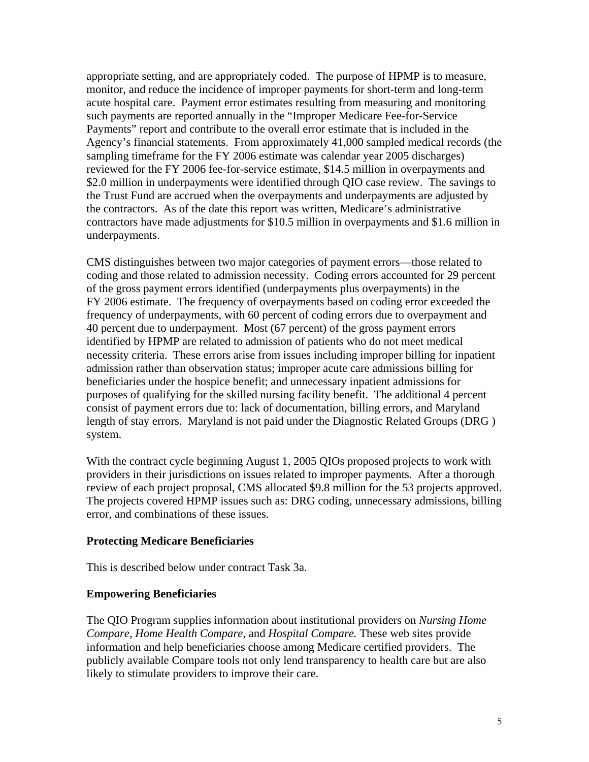appropriate setting, and are appropriately coded. The purpose of HPMP is to measure, monitor, and reduce the incidence of improper payments for short-term and long-term acute hospital care. Payment error estimates resulting from measuring and monitoring such payments are reported annually in the "Improper Medicare Fee-for-Service Payments" report and contribute to the overall error estimate that is included in the Agency's financial statements. From approximately 41,000 sampled medical records (the sampling timeframe for the FY 2006 estimate was calendar year 2005 discharges) reviewed for the FY 2006 fee-for-service estimate, \$14.5 million in overpayments and \$2.0 million in underpayments were identified through QIO case review. The savings to the Trust Fund are accrued when the overpayments and underpayments are adjusted by the contractors. As of the date this report was written, Medicare's administrative contractors have made adjustments for \$10.5 million in overpayments and \$1.6 million in underpayments.

CMS distinguishes between two major categories of payment errors—those related to coding and those related to admission necessity. Coding errors accounted for 29 percent of the gross payment errors identified (underpayments plus overpayments) in the FY 2006 estimate. The frequency of overpayments based on coding error exceeded the frequency of underpayments, with 60 percent of coding errors due to overpayment and 40 percent due to underpayment. Most (67 percent) of the gross payment errors identified by HPMP are related to admission of patients who do not meet medical necessity criteria. These errors arise from issues including improper billing for inpatient admission rather than observation status; improper acute care admissions billing for beneficiaries under the hospice benefit; and unnecessary inpatient admissions for purposes of qualifying for the skilled nursing facility benefit. The additional 4 percent consist of payment errors due to: lack of documentation, billing errors, and Maryland length of stay errors. Maryland is not paid under the Diagnostic Related Groups (DRG ) system.

With the contract cycle beginning August 1, 2005 QIOs proposed projects to work with providers in their jurisdictions on issues related to improper payments. After a thorough review of each project proposal, CMS allocated \$9.8 million for the 53 projects approved. The projects covered HPMP issues such as: DRG coding, unnecessary admissions, billing error, and combinations of these issues.

### **Protecting Medicare Beneficiaries**

This is described below under contract Task 3a.

### **Empowering Beneficiaries**

The QIO Program supplies information about institutional providers on *Nursing Home Compare, Home Health Compare,* and *Hospital Compare.* These web sites provide information and help beneficiaries choose among Medicare certified providers. The publicly available Compare tools not only lend transparency to health care but are also likely to stimulate providers to improve their care.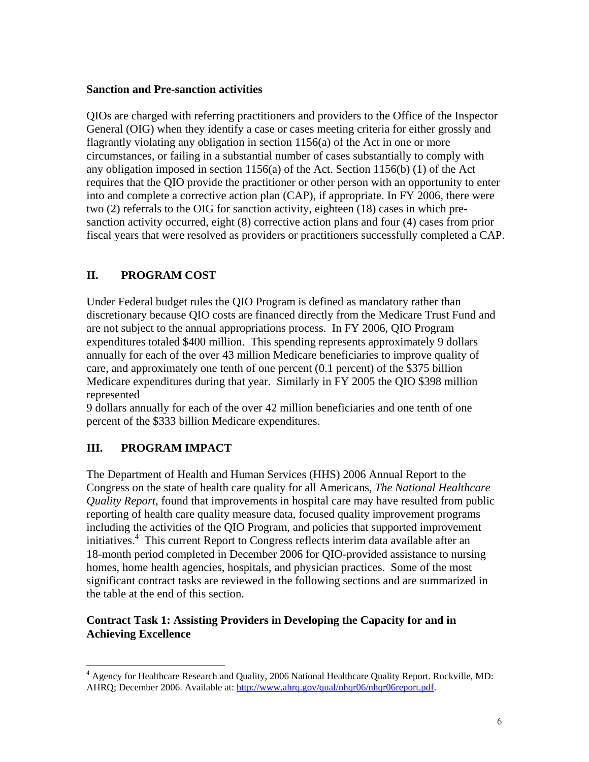### **Sanction and Pre-sanction activities**

QIOs are charged with referring practitioners and providers to the Office of the Inspector General (OIG) when they identify a case or cases meeting criteria for either grossly and flagrantly violating any obligation in section 1156(a) of the Act in one or more circumstances, or failing in a substantial number of cases substantially to comply with any obligation imposed in section 1156(a) of the Act. Section 1156(b) (1) of the Act requires that the QIO provide the practitioner or other person with an opportunity to enter into and complete a corrective action plan (CAP), if appropriate. In FY 2006, there were two (2) referrals to the OIG for sanction activity, eighteen (18) cases in which presanction activity occurred, eight (8) corrective action plans and four (4) cases from prior fiscal years that were resolved as providers or practitioners successfully completed a CAP.

# **II. PROGRAM COST**

Under Federal budget rules the QIO Program is defined as mandatory rather than discretionary because QIO costs are financed directly from the Medicare Trust Fund and are not subject to the annual appropriations process. In FY 2006, QIO Program expenditures totaled \$400 million. This spending represents approximately 9 dollars annually for each of the over 43 million Medicare beneficiaries to improve quality of care, and approximately one tenth of one percent (0.1 percent) of the \$375 billion Medicare expenditures during that year. Similarly in FY 2005 the QIO \$398 million represented

9 dollars annually for each of the over 42 million beneficiaries and one tenth of one percent of the \$333 billion Medicare expenditures.

# **III. PROGRAM IMPACT**

 $\overline{a}$ 

The Department of Health and Human Services (HHS) 2006 Annual Report to the Congress on the state of health care quality for all Americans, *The National Healthcare Quality Report*, found that improvements in hospital care may have resulted from public reporting of health care quality measure data, focused quality improvement programs including the activities of the QIO Program, and policies that supported improvement initiatives.4 This current Report to Congress reflects interim data available after an 18-month period completed in December 2006 for QIO-provided assistance to nursing homes, home health agencies, hospitals, and physician practices. Some of the most significant contract tasks are reviewed in the following sections and are summarized in the table at the end of this section.

## **Contract Task 1: Assisting Providers in Developing the Capacity for and in Achieving Excellence**

<sup>&</sup>lt;sup>4</sup> Agency for Healthcare Research and Quality, 2006 National Healthcare Quality Report. Rockville, MD: AHRQ; December 2006. Available at: http://www.ahrq.gov/qual/nhqr06/nhqr06report.pdf.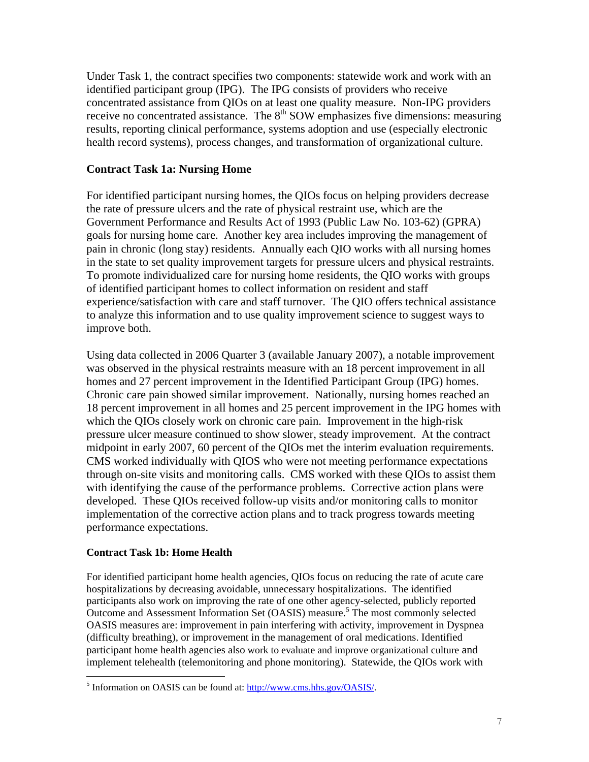Under Task 1, the contract specifies two components: statewide work and work with an identified participant group (IPG). The IPG consists of providers who receive concentrated assistance from QIOs on at least one quality measure. Non-IPG providers receive no concentrated assistance. The  $8<sup>th</sup>$  SOW emphasizes five dimensions: measuring results, reporting clinical performance, systems adoption and use (especially electronic health record systems), process changes, and transformation of organizational culture.

### **Contract Task 1a: Nursing Home**

For identified participant nursing homes, the QIOs focus on helping providers decrease the rate of pressure ulcers and the rate of physical restraint use, which are the Government Performance and Results Act of 1993 (Public Law No. 103-62) (GPRA) goals for nursing home care. Another key area includes improving the management of pain in chronic (long stay) residents. Annually each QIO works with all nursing homes in the state to set quality improvement targets for pressure ulcers and physical restraints. To promote individualized care for nursing home residents, the QIO works with groups of identified participant homes to collect information on resident and staff experience/satisfaction with care and staff turnover. The QIO offers technical assistance to analyze this information and to use quality improvement science to suggest ways to improve both.

Using data collected in 2006 Quarter 3 (available January 2007), a notable improvement was observed in the physical restraints measure with an 18 percent improvement in all homes and 27 percent improvement in the Identified Participant Group (IPG) homes. Chronic care pain showed similar improvement. Nationally, nursing homes reached an 18 percent improvement in all homes and 25 percent improvement in the IPG homes with which the QIOs closely work on chronic care pain. Improvement in the high-risk pressure ulcer measure continued to show slower, steady improvement. At the contract midpoint in early 2007, 60 percent of the QIOs met the interim evaluation requirements. CMS worked individually with QIOS who were not meeting performance expectations through on-site visits and monitoring calls. CMS worked with these QIOs to assist them with identifying the cause of the performance problems. Corrective action plans were developed. These QIOs received follow-up visits and/or monitoring calls to monitor implementation of the corrective action plans and to track progress towards meeting performance expectations.

### **Contract Task 1b: Home Health**

 $\overline{a}$ 

For identified participant home health agencies, QIOs focus on reducing the rate of acute care hospitalizations by decreasing avoidable, unnecessary hospitalizations. The identified participants also work on improving the rate of one other agency-selected, publicly reported Outcome and Assessment Information Set (OASIS) measure.<sup>5</sup> The most commonly selected OASIS measures are: improvement in pain interfering with activity, improvement in Dyspnea (difficulty breathing), or improvement in the management of oral medications. Identified participant home health agencies also work to evaluate and improve organizational culture and implement telehealth (telemonitoring and phone monitoring). Statewide, the QIOs work with

<sup>&</sup>lt;sup>5</sup> Information on OASIS can be found at: http://www.cms.hhs.gov/OASIS/.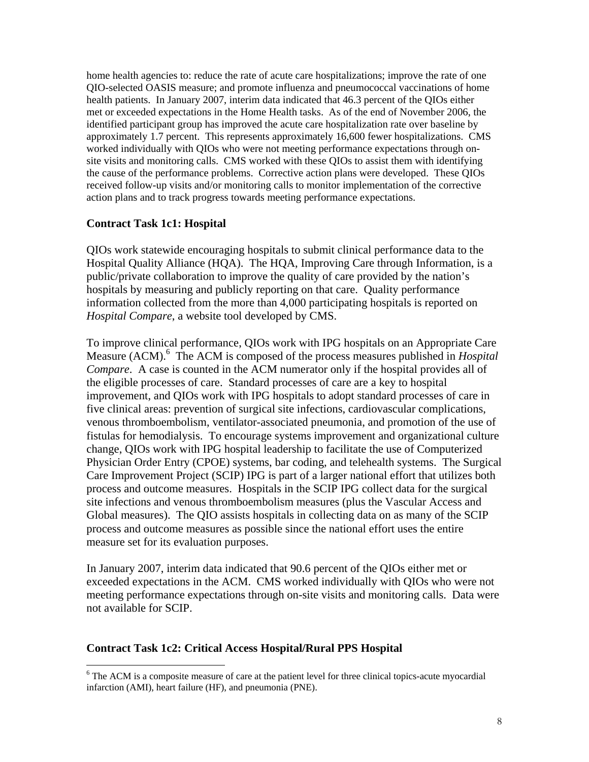home health agencies to: reduce the rate of acute care hospitalizations; improve the rate of one QIO-selected OASIS measure; and promote influenza and pneumococcal vaccinations of home health patients. In January 2007, interim data indicated that 46.3 percent of the QIOs either met or exceeded expectations in the Home Health tasks. As of the end of November 2006, the identified participant group has improved the acute care hospitalization rate over baseline by approximately 1.7 percent. This represents approximately 16,600 fewer hospitalizations. CMS worked individually with QIOs who were not meeting performance expectations through onsite visits and monitoring calls. CMS worked with these QIOs to assist them with identifying the cause of the performance problems. Corrective action plans were developed. These QIOs received follow-up visits and/or monitoring calls to monitor implementation of the corrective action plans and to track progress towards meeting performance expectations.

#### **Contract Task 1c1: Hospital**

 $\overline{a}$ 

QIOs work statewide encouraging hospitals to submit clinical performance data to the Hospital Quality Alliance (HQA). The HQA, Improving Care through Information, is a public/private collaboration to improve the quality of care provided by the nation's hospitals by measuring and publicly reporting on that care. Quality performance information collected from the more than 4,000 participating hospitals is reported on *Hospital Compare*, a website tool developed by CMS.

To improve clinical performance, QIOs work with IPG hospitals on an Appropriate Care Measure (ACM).<sup>6</sup> The ACM is composed of the process measures published in *Hospital Compare*. A case is counted in the ACM numerator only if the hospital provides all of the eligible processes of care. Standard processes of care are a key to hospital improvement, and QIOs work with IPG hospitals to adopt standard processes of care in five clinical areas: prevention of surgical site infections, cardiovascular complications, venous thromboembolism, ventilator-associated pneumonia, and promotion of the use of fistulas for hemodialysis. To encourage systems improvement and organizational culture change, QIOs work with IPG hospital leadership to facilitate the use of Computerized Physician Order Entry (CPOE) systems, bar coding, and telehealth systems. The Surgical Care Improvement Project (SCIP) IPG is part of a larger national effort that utilizes both process and outcome measures. Hospitals in the SCIP IPG collect data for the surgical site infections and venous thromboembolism measures (plus the Vascular Access and Global measures). The QIO assists hospitals in collecting data on as many of the SCIP process and outcome measures as possible since the national effort uses the entire measure set for its evaluation purposes.

In January 2007, interim data indicated that 90.6 percent of the QIOs either met or exceeded expectations in the ACM. CMS worked individually with QIOs who were not meeting performance expectations through on-site visits and monitoring calls. Data were not available for SCIP.

#### **Contract Task 1c2: Critical Access Hospital/Rural PPS Hospital**

<sup>&</sup>lt;sup>6</sup> The ACM is a composite measure of care at the patient level for three clinical topics-acute myocardial infarction (AMI), heart failure (HF), and pneumonia (PNE).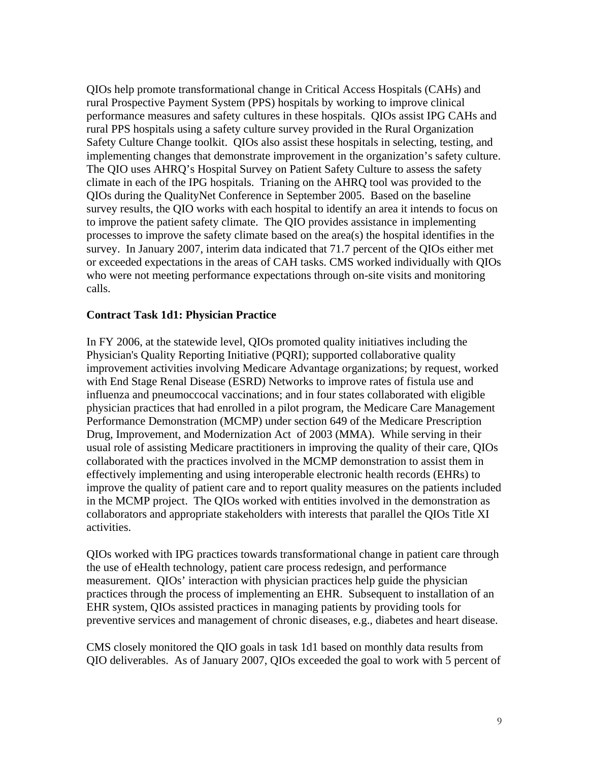QIOs help promote transformational change in Critical Access Hospitals (CAHs) and rural Prospective Payment System (PPS) hospitals by working to improve clinical performance measures and safety cultures in these hospitals. QIOs assist IPG CAHs and rural PPS hospitals using a safety culture survey provided in the Rural Organization Safety Culture Change toolkit. QIOs also assist these hospitals in selecting, testing, and implementing changes that demonstrate improvement in the organization's safety culture. The QIO uses AHRQ's Hospital Survey on Patient Safety Culture to assess the safety climate in each of the IPG hospitals. Trianing on the AHRQ tool was provided to the QIOs during the QualityNet Conference in September 2005. Based on the baseline survey results, the QIO works with each hospital to identify an area it intends to focus on to improve the patient safety climate. The QIO provides assistance in implementing processes to improve the safety climate based on the area(s) the hospital identifies in the survey. In January 2007, interim data indicated that 71.7 percent of the QIOs either met or exceeded expectations in the areas of CAH tasks. CMS worked individually with QIOs who were not meeting performance expectations through on-site visits and monitoring calls.

### **Contract Task 1d1: Physician Practice**

In FY 2006, at the statewide level, QIOs promoted quality initiatives including the Physician's Quality Reporting Initiative (PQRI); supported collaborative quality improvement activities involving Medicare Advantage organizations; by request, worked with End Stage Renal Disease (ESRD) Networks to improve rates of fistula use and influenza and pneumoccocal vaccinations; and in four states collaborated with eligible physician practices that had enrolled in a pilot program, the Medicare Care Management Performance Demonstration (MCMP) under section 649 of the Medicare Prescription Drug, Improvement, and Modernization Act of 2003 (MMA). While serving in their usual role of assisting Medicare practitioners in improving the quality of their care, QIOs collaborated with the practices involved in the MCMP demonstration to assist them in effectively implementing and using interoperable electronic health records (EHRs) to improve the quality of patient care and to report quality measures on the patients included in the MCMP project. The QIOs worked with entities involved in the demonstration as collaborators and appropriate stakeholders with interests that parallel the QIOs Title XI activities.

QIOs worked with IPG practices towards transformational change in patient care through the use of eHealth technology, patient care process redesign, and performance measurement. QIOs' interaction with physician practices help guide the physician practices through the process of implementing an EHR. Subsequent to installation of an EHR system, QIOs assisted practices in managing patients by providing tools for preventive services and management of chronic diseases, e.g., diabetes and heart disease.

CMS closely monitored the QIO goals in task 1d1 based on monthly data results from QIO deliverables. As of January 2007, QIOs exceeded the goal to work with 5 percent of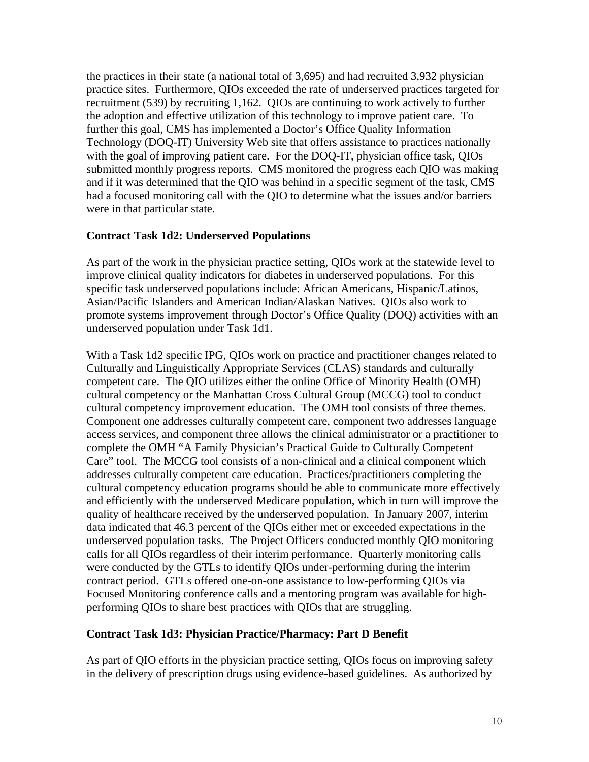the practices in their state (a national total of 3,695) and had recruited 3,932 physician practice sites. Furthermore, QIOs exceeded the rate of underserved practices targeted for recruitment (539) by recruiting 1,162. QIOs are continuing to work actively to further the adoption and effective utilization of this technology to improve patient care. To further this goal, CMS has implemented a Doctor's Office Quality Information Technology (DOQ-IT) University Web site that offers assistance to practices nationally with the goal of improving patient care. For the DOQ-IT, physician office task, QIOs submitted monthly progress reports. CMS monitored the progress each QIO was making and if it was determined that the QIO was behind in a specific segment of the task, CMS had a focused monitoring call with the QIO to determine what the issues and/or barriers were in that particular state.

#### **Contract Task 1d2: Underserved Populations**

As part of the work in the physician practice setting, QIOs work at the statewide level to improve clinical quality indicators for diabetes in underserved populations. For this specific task underserved populations include: African Americans, Hispanic/Latinos, Asian/Pacific Islanders and American Indian/Alaskan Natives. QIOs also work to promote systems improvement through Doctor's Office Quality (DOQ) activities with an underserved population under Task 1d1.

With a Task 1d2 specific IPG, QIOs work on practice and practitioner changes related to Culturally and Linguistically Appropriate Services (CLAS) standards and culturally competent care. The QIO utilizes either the online Office of Minority Health (OMH) cultural competency or the Manhattan Cross Cultural Group (MCCG) tool to conduct cultural competency improvement education. The OMH tool consists of three themes. Component one addresses culturally competent care, component two addresses language access services, and component three allows the clinical administrator or a practitioner to complete the OMH "A Family Physician's Practical Guide to Culturally Competent Care" tool. The MCCG tool consists of a non-clinical and a clinical component which addresses culturally competent care education. Practices/practitioners completing the cultural competency education programs should be able to communicate more effectively and efficiently with the underserved Medicare population, which in turn will improve the quality of healthcare received by the underserved population. In January 2007, interim data indicated that 46.3 percent of the QIOs either met or exceeded expectations in the underserved population tasks. The Project Officers conducted monthly QIO monitoring calls for all QIOs regardless of their interim performance. Quarterly monitoring calls were conducted by the GTLs to identify QIOs under-performing during the interim contract period. GTLs offered one-on-one assistance to low-performing QIOs via Focused Monitoring conference calls and a mentoring program was available for highperforming QIOs to share best practices with QIOs that are struggling.

#### **Contract Task 1d3: Physician Practice/Pharmacy: Part D Benefit**

As part of QIO efforts in the physician practice setting, QIOs focus on improving safety in the delivery of prescription drugs using evidence-based guidelines. As authorized by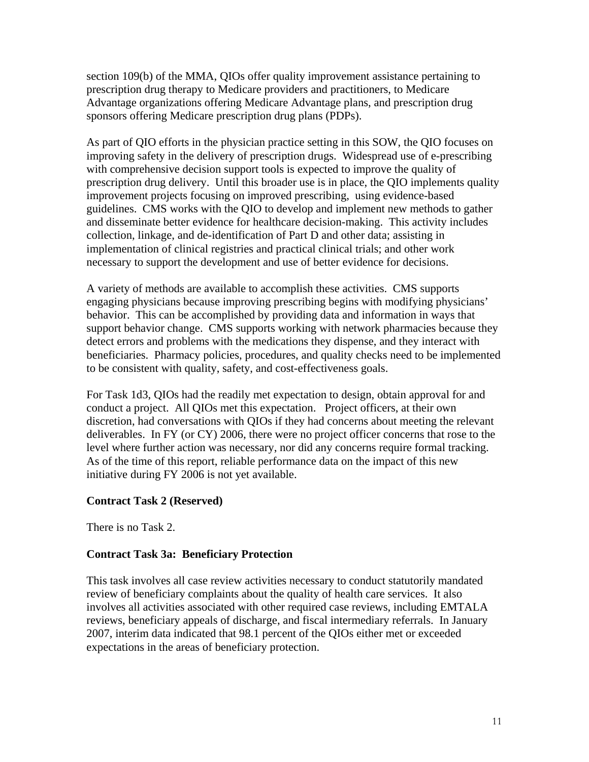section 109(b) of the MMA, QIOs offer quality improvement assistance pertaining to prescription drug therapy to Medicare providers and practitioners, to Medicare Advantage organizations offering Medicare Advantage plans, and prescription drug sponsors offering Medicare prescription drug plans (PDPs).

As part of QIO efforts in the physician practice setting in this SOW, the QIO focuses on improving safety in the delivery of prescription drugs. Widespread use of e-prescribing with comprehensive decision support tools is expected to improve the quality of prescription drug delivery. Until this broader use is in place, the QIO implements quality improvement projects focusing on improved prescribing, using evidence-based guidelines. CMS works with the QIO to develop and implement new methods to gather and disseminate better evidence for healthcare decision-making. This activity includes collection, linkage, and de-identification of Part D and other data; assisting in implementation of clinical registries and practical clinical trials; and other work necessary to support the development and use of better evidence for decisions.

A variety of methods are available to accomplish these activities. CMS supports engaging physicians because improving prescribing begins with modifying physicians' behavior. This can be accomplished by providing data and information in ways that support behavior change. CMS supports working with network pharmacies because they detect errors and problems with the medications they dispense, and they interact with beneficiaries. Pharmacy policies, procedures, and quality checks need to be implemented to be consistent with quality, safety, and cost-effectiveness goals.

For Task 1d3, QIOs had the readily met expectation to design, obtain approval for and conduct a project. All QIOs met this expectation. Project officers, at their own discretion, had conversations with QIOs if they had concerns about meeting the relevant deliverables. In FY (or CY) 2006, there were no project officer concerns that rose to the level where further action was necessary, nor did any concerns require formal tracking. As of the time of this report, reliable performance data on the impact of this new initiative during FY 2006 is not yet available.

### **Contract Task 2 (Reserved)**

There is no Task 2.

### **Contract Task 3a: Beneficiary Protection**

This task involves all case review activities necessary to conduct statutorily mandated review of beneficiary complaints about the quality of health care services. It also involves all activities associated with other required case reviews, including EMTALA reviews, beneficiary appeals of discharge, and fiscal intermediary referrals. In January 2007, interim data indicated that 98.1 percent of the QIOs either met or exceeded expectations in the areas of beneficiary protection.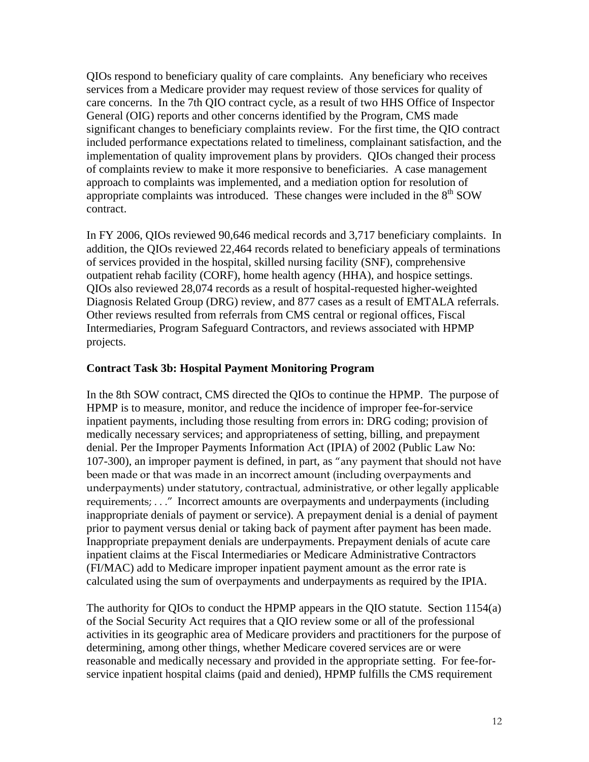QIOs respond to beneficiary quality of care complaints. Any beneficiary who receives services from a Medicare provider may request review of those services for quality of care concerns. In the 7th QIO contract cycle, as a result of two HHS Office of Inspector General (OIG) reports and other concerns identified by the Program, CMS made significant changes to beneficiary complaints review. For the first time, the QIO contract included performance expectations related to timeliness, complainant satisfaction, and the implementation of quality improvement plans by providers. QIOs changed their process of complaints review to make it more responsive to beneficiaries. A case management approach to complaints was implemented, and a mediation option for resolution of appropriate complaints was introduced. These changes were included in the  $8<sup>th</sup>$  SOW contract.

In FY 2006, QIOs reviewed 90,646 medical records and 3,717 beneficiary complaints. In addition, the QIOs reviewed 22,464 records related to beneficiary appeals of terminations of services provided in the hospital, skilled nursing facility (SNF), comprehensive outpatient rehab facility (CORF), home health agency (HHA), and hospice settings. QIOs also reviewed 28,074 records as a result of hospital-requested higher-weighted Diagnosis Related Group (DRG) review, and 877 cases as a result of EMTALA referrals. Other reviews resulted from referrals from CMS central or regional offices, Fiscal Intermediaries, Program Safeguard Contractors, and reviews associated with HPMP projects.

### **Contract Task 3b: Hospital Payment Monitoring Program**

In the 8th SOW contract, CMS directed the QIOs to continue the HPMP. The purpose of HPMP is to measure, monitor, and reduce the incidence of improper fee-for-service inpatient payments, including those resulting from errors in: DRG coding; provision of medically necessary services; and appropriateness of setting, billing, and prepayment denial. Per the Improper Payments Information Act (IPIA) of 2002 (Public Law No: 107-300), an improper payment is defined, in part, as "any payment that should not have been made or that was made in an incorrect amount (including overpayments and underpayments) under statutory, contractual, administrative, or other legally applicable requirements; . . ." Incorrect amounts are overpayments and underpayments (including inappropriate denials of payment or service). A prepayment denial is a denial of payment prior to payment versus denial or taking back of payment after payment has been made. Inappropriate prepayment denials are underpayments. Prepayment denials of acute care inpatient claims at the Fiscal Intermediaries or Medicare Administrative Contractors (FI/MAC) add to Medicare improper inpatient payment amount as the error rate is calculated using the sum of overpayments and underpayments as required by the IPIA.

The authority for QIOs to conduct the HPMP appears in the QIO statute. Section 1154(a) of the Social Security Act requires that a QIO review some or all of the professional activities in its geographic area of Medicare providers and practitioners for the purpose of determining, among other things, whether Medicare covered services are or were reasonable and medically necessary and provided in the appropriate setting. For fee-forservice inpatient hospital claims (paid and denied), HPMP fulfills the CMS requirement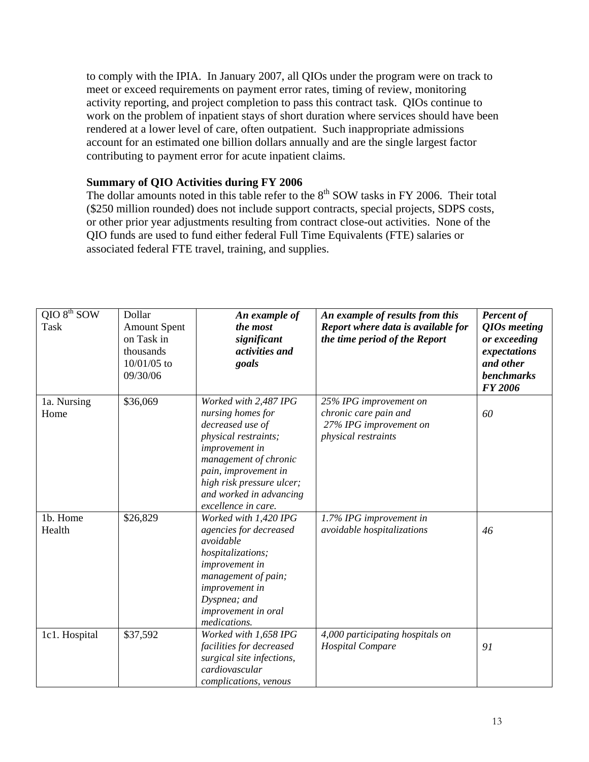to comply with the IPIA. In January 2007, all QIOs under the program were on track to meet or exceed requirements on payment error rates, timing of review, monitoring activity reporting, and project completion to pass this contract task. QIOs continue to work on the problem of inpatient stays of short duration where services should have been rendered at a lower level of care, often outpatient. Such inappropriate admissions account for an estimated one billion dollars annually and are the single largest factor contributing to payment error for acute inpatient claims.

#### **Summary of QIO Activities during FY 2006**

The dollar amounts noted in this table refer to the  $8<sup>th</sup>$  SOW tasks in FY 2006. Their total (\$250 million rounded) does not include support contracts, special projects, SDPS costs, or other prior year adjustments resulting from contract close-out activities. None of the QIO funds are used to fund either federal Full Time Equivalents (FTE) salaries or associated federal FTE travel, training, and supplies.

| $QIO 8th$ SOW<br><b>Task</b> | Dollar<br><b>Amount Spent</b><br>on Task in<br>thousands<br>10/01/05 to<br>09/30/06 | An example of<br>the most<br>significant<br>activities and<br>goals                                                                                                                                                                      | An example of results from this<br>Report where data is available for<br>the time period of the Report | <b>Percent of</b><br>QIOs meeting<br>or exceeding<br>expectations<br>and other<br><b>benchmarks</b><br><b>FY 2006</b> |
|------------------------------|-------------------------------------------------------------------------------------|------------------------------------------------------------------------------------------------------------------------------------------------------------------------------------------------------------------------------------------|--------------------------------------------------------------------------------------------------------|-----------------------------------------------------------------------------------------------------------------------|
| 1a. Nursing<br>Home          | \$36,069                                                                            | Worked with 2,487 IPG<br>nursing homes for<br>decreased use of<br>physical restraints;<br>improvement in<br>management of chronic<br>pain, improvement in<br>high risk pressure ulcer;<br>and worked in advancing<br>excellence in care. | 25% IPG improvement on<br>chronic care pain and<br>27% IPG improvement on<br>physical restraints       | 60                                                                                                                    |
| 1b. Home<br>Health           | \$26,829                                                                            | Worked with 1,420 IPG<br>agencies for decreased<br>avoidable<br>hospitalizations;<br>improvement in<br>management of pain;<br>improvement in<br>Dyspnea; and<br>improvement in oral<br>medications.                                      | 1.7% IPG improvement in<br>avoidable hospitalizations                                                  | 46                                                                                                                    |
| 1c1. Hospital                | \$37,592                                                                            | Worked with 1,658 IPG<br>facilities for decreased<br>surgical site infections,<br>cardiovascular<br>complications, venous                                                                                                                | 4,000 participating hospitals on<br><b>Hospital Compare</b>                                            | 91                                                                                                                    |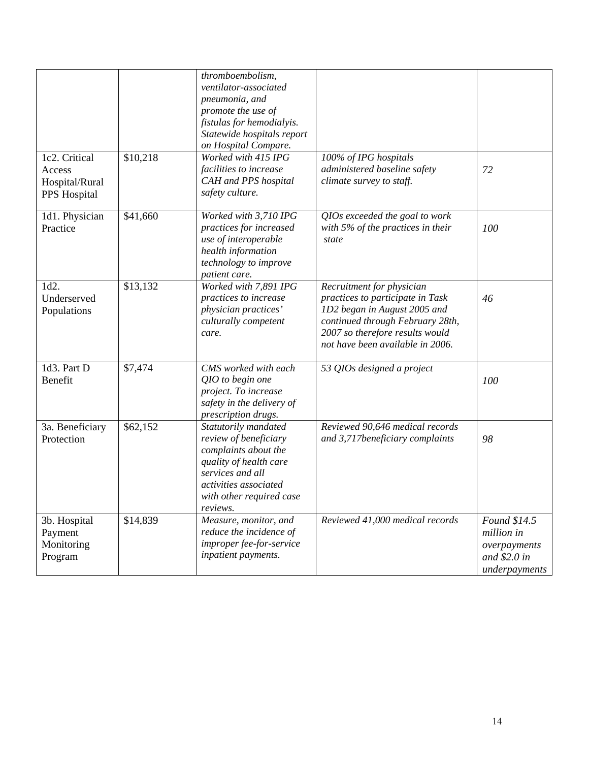| 1c2. Critical                                    | \$10,218 | thromboembolism,<br>ventilator-associated<br>pneumonia, and<br>promote the use of<br>fistulas for hemodialyis.<br>Statewide hospitals report<br>on Hospital Compare.<br>Worked with 415 IPG | 100% of IPG hospitals                                                                                                                                                                                    |                                                                              |
|--------------------------------------------------|----------|---------------------------------------------------------------------------------------------------------------------------------------------------------------------------------------------|----------------------------------------------------------------------------------------------------------------------------------------------------------------------------------------------------------|------------------------------------------------------------------------------|
| Access<br>Hospital/Rural<br>PPS Hospital         |          | facilities to increase<br>CAH and PPS hospital<br>safety culture.                                                                                                                           | administered baseline safety<br>climate survey to staff.                                                                                                                                                 | 72                                                                           |
| 1d1. Physician<br>Practice                       | \$41,660 | Worked with 3,710 IPG<br>practices for increased<br>use of interoperable<br>health information<br>technology to improve<br>patient care.                                                    | QIOs exceeded the goal to work<br>with $5\%$ of the practices in their<br>state                                                                                                                          | 100                                                                          |
| 1d2.<br>Underserved<br>Populations               | \$13,132 | Worked with 7,891 IPG<br>practices to increase<br>physician practices'<br>culturally competent<br>care.                                                                                     | Recruitment for physician<br>practices to participate in Task<br>1D2 began in August 2005 and<br>continued through February 28th,<br>2007 so therefore results would<br>not have been available in 2006. | 46                                                                           |
| 1d3. Part D<br>Benefit                           | \$7,474  | CMS worked with each<br>QIO to begin one<br>project. To increase<br>safety in the delivery of<br>prescription drugs.                                                                        | 53 QIOs designed a project                                                                                                                                                                               | 100                                                                          |
| 3a. Beneficiary<br>Protection                    | \$62,152 | Statutorily mandated<br>review of beneficiary<br>complaints about the<br>quality of health care<br>services and all<br>activities associated<br>with other required case<br>reviews.        | Reviewed 90,646 medical records<br>and 3,717beneficiary complaints                                                                                                                                       | 98                                                                           |
| 3b. Hospital<br>Payment<br>Monitoring<br>Program | \$14,839 | Measure, monitor, and<br>reduce the incidence of<br>improper fee-for-service<br>inpatient payments.                                                                                         | Reviewed 41,000 medical records                                                                                                                                                                          | Found \$14.5<br>million in<br>overpayments<br>and $$2.0 in$<br>underpayments |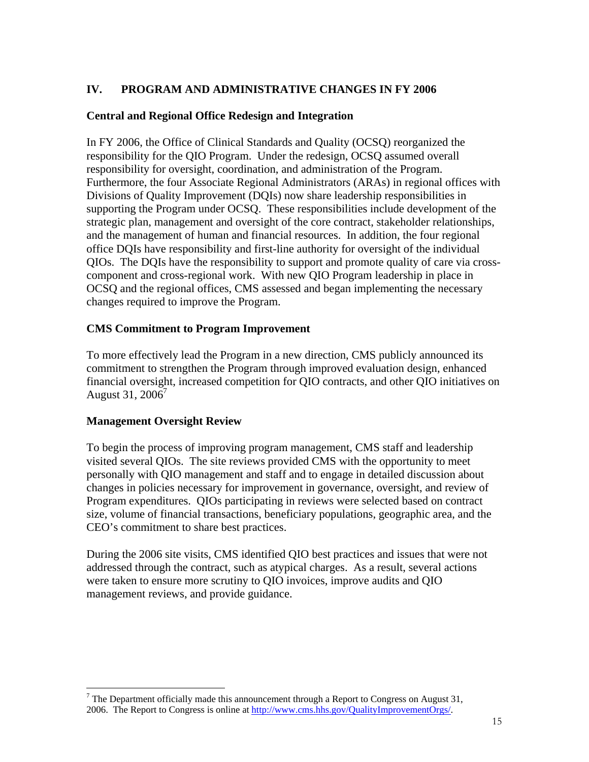# **IV. PROGRAM AND ADMINISTRATIVE CHANGES IN FY 2006**

### **Central and Regional Office Redesign and Integration**

In FY 2006, the Office of Clinical Standards and Quality (OCSQ) reorganized the responsibility for the QIO Program. Under the redesign, OCSQ assumed overall responsibility for oversight, coordination, and administration of the Program. Furthermore, the four Associate Regional Administrators (ARAs) in regional offices with Divisions of Quality Improvement (DQIs) now share leadership responsibilities in supporting the Program under OCSQ. These responsibilities include development of the strategic plan, management and oversight of the core contract, stakeholder relationships, and the management of human and financial resources. In addition, the four regional office DQIs have responsibility and first-line authority for oversight of the individual QIOs. The DQIs have the responsibility to support and promote quality of care via crosscomponent and cross-regional work. With new QIO Program leadership in place in OCSQ and the regional offices, CMS assessed and began implementing the necessary changes required to improve the Program.

### **CMS Commitment to Program Improvement**

To more effectively lead the Program in a new direction, CMS publicly announced its commitment to strengthen the Program through improved evaluation design, enhanced financial oversight, increased competition for QIO contracts, and other QIO initiatives on August 31,  $2006'$ 

### **Management Oversight Review**

To begin the process of improving program management, CMS staff and leadership visited several QIOs. The site reviews provided CMS with the opportunity to meet personally with QIO management and staff and to engage in detailed discussion about changes in policies necessary for improvement in governance, oversight, and review of Program expenditures. QIOs participating in reviews were selected based on contract size, volume of financial transactions, beneficiary populations, geographic area, and the CEO's commitment to share best practices.

During the 2006 site visits, CMS identified QIO best practices and issues that were not addressed through the contract, such as atypical charges. As a result, several actions were taken to ensure more scrutiny to QIO invoices, improve audits and QIO management reviews, and provide guidance.

 $\overline{a}$ <sup>7</sup> The Department officially made this announcement through a Report to Congress on August 31, 2006. The Report to Congress is online at http://www.cms.hhs.gov/QualityImprovementOrgs/.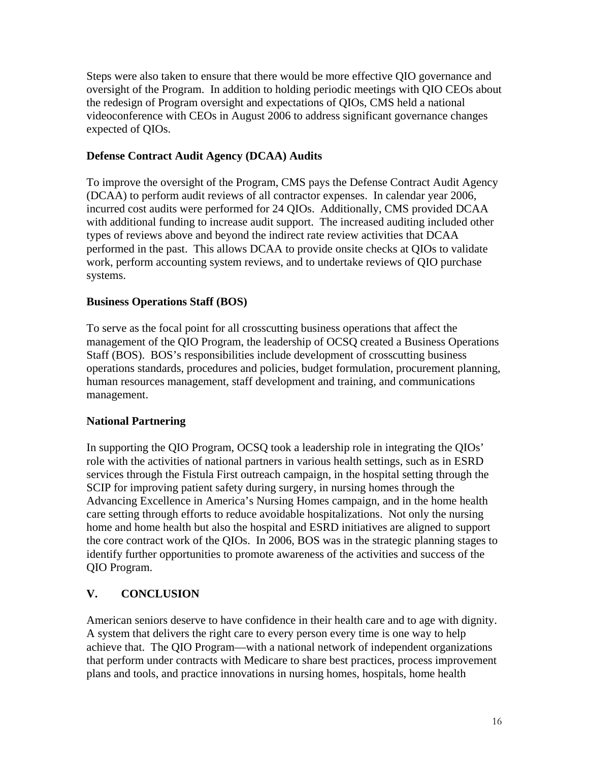Steps were also taken to ensure that there would be more effective QIO governance and oversight of the Program. In addition to holding periodic meetings with QIO CEOs about the redesign of Program oversight and expectations of QIOs, CMS held a national videoconference with CEOs in August 2006 to address significant governance changes expected of QIOs.

### **Defense Contract Audit Agency (DCAA) Audits**

To improve the oversight of the Program, CMS pays the Defense Contract Audit Agency (DCAA) to perform audit reviews of all contractor expenses. In calendar year 2006, incurred cost audits were performed for 24 QIOs. Additionally, CMS provided DCAA with additional funding to increase audit support. The increased auditing included other types of reviews above and beyond the indirect rate review activities that DCAA performed in the past. This allows DCAA to provide onsite checks at QIOs to validate work, perform accounting system reviews, and to undertake reviews of QIO purchase systems.

## **Business Operations Staff (BOS)**

To serve as the focal point for all crosscutting business operations that affect the management of the QIO Program, the leadership of OCSQ created a Business Operations Staff (BOS). BOS's responsibilities include development of crosscutting business operations standards, procedures and policies, budget formulation, procurement planning, human resources management, staff development and training, and communications management.

### **National Partnering**

In supporting the QIO Program, OCSQ took a leadership role in integrating the QIOs' role with the activities of national partners in various health settings, such as in ESRD services through the Fistula First outreach campaign, in the hospital setting through the SCIP for improving patient safety during surgery, in nursing homes through the Advancing Excellence in America's Nursing Homes campaign, and in the home health care setting through efforts to reduce avoidable hospitalizations. Not only the nursing home and home health but also the hospital and ESRD initiatives are aligned to support the core contract work of the QIOs. In 2006, BOS was in the strategic planning stages to identify further opportunities to promote awareness of the activities and success of the QIO Program.

# **V. CONCLUSION**

American seniors deserve to have confidence in their health care and to age with dignity. A system that delivers the right care to every person every time is one way to help achieve that. The QIO Program—with a national network of independent organizations that perform under contracts with Medicare to share best practices, process improvement plans and tools, and practice innovations in nursing homes, hospitals, home health